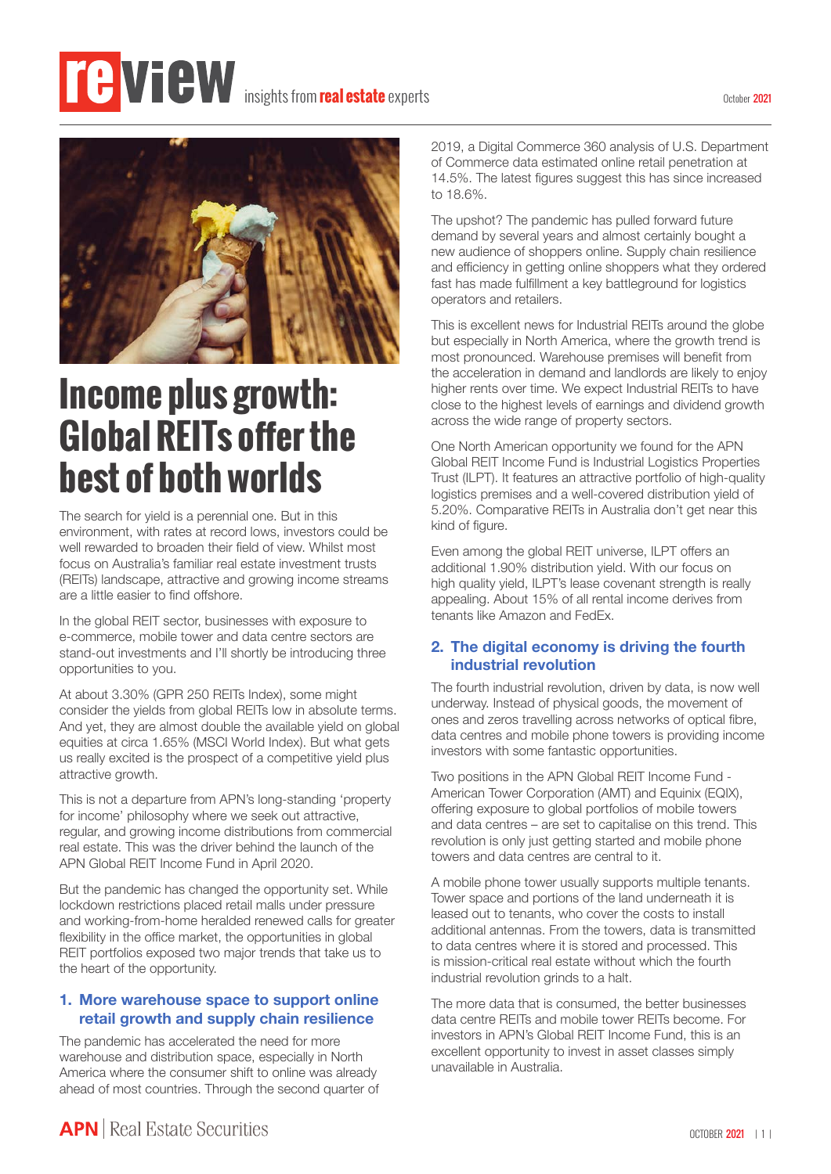# **insights from real estate** experts



## **Income plus growth: Global REITs offer the best of both worlds**

The search for yield is a perennial one. But in this environment, with rates at record lows, investors could be well rewarded to broaden their field of view. Whilst most focus on Australia's familiar real estate investment trusts (REITs) landscape, attractive and growing income streams are a little easier to find offshore.

In the global REIT sector, businesses with exposure to e-commerce, mobile tower and data centre sectors are stand-out investments and I'll shortly be introducing three opportunities to you.

At about 3.30% (GPR 250 REITs Index), some might consider the yields from global REITs low in absolute terms. And yet, they are almost double the available yield on global equities at circa 1.65% (MSCI World Index). But what gets us really excited is the prospect of a competitive yield plus attractive growth.

This is not a departure from APN's long-standing 'property for income' philosophy where we seek out attractive, regular, and growing income distributions from commercial real estate. This was the driver behind the launch of the APN Global REIT Income Fund in April 2020.

But the pandemic has changed the opportunity set. While lockdown restrictions placed retail malls under pressure and working-from-home heralded renewed calls for greater flexibility in the office market, the opportunities in global REIT portfolios exposed two major trends that take us to the heart of the opportunity.

#### **1. More warehouse space to support online retail growth and supply chain resilience**

The pandemic has accelerated the need for more warehouse and distribution space, especially in North America where the consumer shift to online was already ahead of most countries. Through the second quarter of 2019, a Digital Commerce 360 analysis of U.S. Department of Commerce data estimated online retail penetration at 14.5%. The latest figures suggest this has since increased to 18.6%.

The upshot? The pandemic has pulled forward future demand by several years and almost certainly bought a new audience of shoppers online. Supply chain resilience and efficiency in getting online shoppers what they ordered fast has made fulfillment a key battleground for logistics operators and retailers.

This is excellent news for Industrial REITs around the globe but especially in North America, where the growth trend is most pronounced. Warehouse premises will benefit from the acceleration in demand and landlords are likely to enjoy higher rents over time. We expect Industrial REITs to have close to the highest levels of earnings and dividend growth across the wide range of property sectors.

One North American opportunity we found for the APN Global REIT Income Fund is Industrial Logistics Properties Trust (ILPT). It features an attractive portfolio of high-quality logistics premises and a well-covered distribution yield of 5.20%. Comparative REITs in Australia don't get near this kind of figure.

Even among the global REIT universe, ILPT offers an additional 1.90% distribution yield. With our focus on high quality yield, ILPT's lease covenant strength is really appealing. About 15% of all rental income derives from tenants like Amazon and FedEx.

#### **2. The digital economy is driving the fourth industrial revolution**

The fourth industrial revolution, driven by data, is now well underway. Instead of physical goods, the movement of ones and zeros travelling across networks of optical fibre, data centres and mobile phone towers is providing income investors with some fantastic opportunities.

Two positions in the APN Global REIT Income Fund - American Tower Corporation (AMT) and Equinix (EQIX), offering exposure to global portfolios of mobile towers and data centres – are set to capitalise on this trend. This revolution is only just getting started and mobile phone towers and data centres are central to it.

A mobile phone tower usually supports multiple tenants. Tower space and portions of the land underneath it is leased out to tenants, who cover the costs to install additional antennas. From the towers, data is transmitted to data centres where it is stored and processed. This is mission-critical real estate without which the fourth industrial revolution grinds to a halt.

The more data that is consumed, the better businesses data centre REITs and mobile tower REITs become. For investors in APN's Global REIT Income Fund, this is an excellent opportunity to invest in asset classes simply unavailable in Australia.